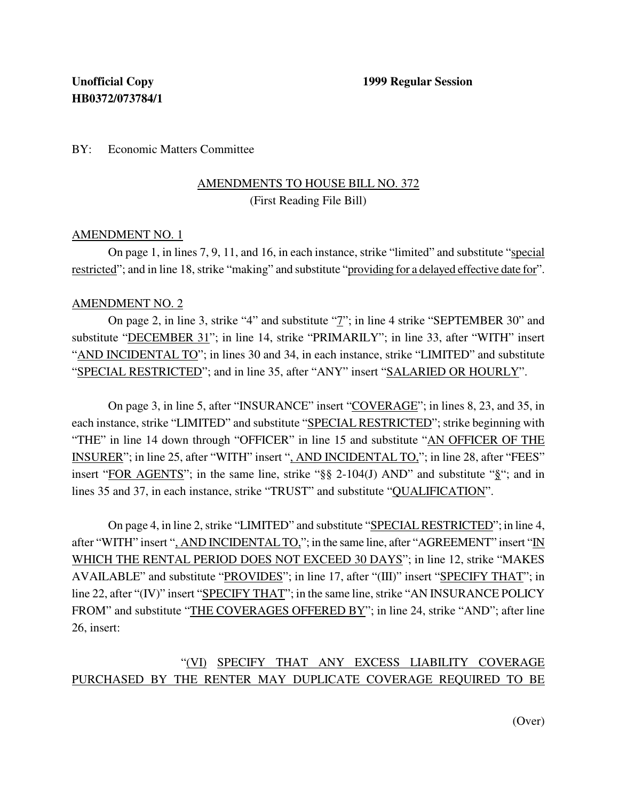### BY: Economic Matters Committee

### AMENDMENTS TO HOUSE BILL NO. 372 (First Reading File Bill)

#### AMENDMENT NO. 1

On page 1, in lines 7, 9, 11, and 16, in each instance, strike "limited" and substitute "special restricted"; and in line 18, strike "making" and substitute "providing for a delayed effective date for".

#### AMENDMENT NO. 2

On page 2, in line 3, strike "4" and substitute "7"; in line 4 strike "SEPTEMBER 30" and substitute "DECEMBER 31"; in line 14, strike "PRIMARILY"; in line 33, after "WITH" insert "AND INCIDENTAL TO"; in lines 30 and 34, in each instance, strike "LIMITED" and substitute "SPECIAL RESTRICTED"; and in line 35, after "ANY" insert "SALARIED OR HOURLY".

On page 3, in line 5, after "INSURANCE" insert "COVERAGE"; in lines 8, 23, and 35, in each instance, strike "LIMITED" and substitute "SPECIAL RESTRICTED"; strike beginning with "THE" in line 14 down through "OFFICER" in line 15 and substitute "AN OFFICER OF THE INSURER"; in line 25, after "WITH" insert ", AND INCIDENTAL TO,"; in line 28, after "FEES" insert "FOR AGENTS"; in the same line, strike "§§ 2-104(J) AND" and substitute "§"; and in lines 35 and 37, in each instance, strike "TRUST" and substitute "QUALIFICATION".

On page 4, in line 2, strike "LIMITED" and substitute "SPECIAL RESTRICTED"; in line 4, after "WITH" insert ", AND INCIDENTALTO,"; in the same line, after "AGREEMENT" insert "IN WHICH THE RENTAL PERIOD DOES NOT EXCEED 30 DAYS"; in line 12, strike "MAKES" AVAILABLE" and substitute "PROVIDES"; in line 17, after "(III)" insert "SPECIFY THAT"; in line 22, after "(IV)" insert "SPECIFY THAT"; in the same line, strike "AN INSURANCE POLICY FROM" and substitute "THE COVERAGES OFFERED BY"; in line 24, strike "AND"; after line 26, insert:

# "(VI) SPECIFY THAT ANY EXCESS LIABILITY COVERAGE PURCHASED BY THE RENTER MAY DUPLICATE COVERAGE REQUIRED TO BE

(Over)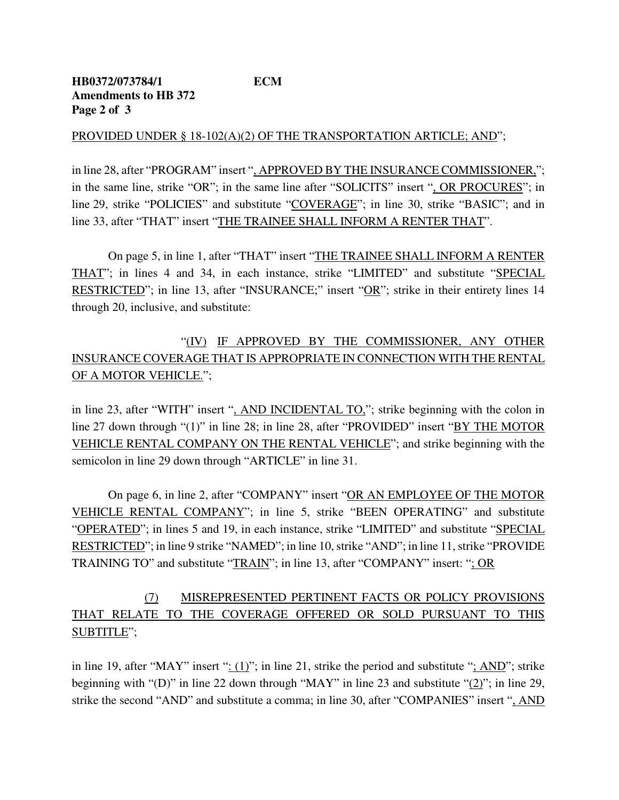#### PROVIDED UNDER § 18-102(A)(2) OF THE TRANSPORTATION ARTICLE; AND";

in line 28, after "PROGRAM" insert ", APPROVED BY THE INSURANCE COMMISSIONER,"; in the same line, strike "OR"; in the same line after "SOLICITS" insert ", OR PROCURES"; in line 29, strike "POLICIES" and substitute "COVERAGE"; in line 30, strike "BASIC"; and in line 33, after "THAT" insert "THE TRAINEE SHALL INFORM A RENTER THAT".

On page 5, in line 1, after "THAT" insert "THE TRAINEE SHALL INFORM A RENTER THAT"; in lines 4 and 34, in each instance, strike "LIMITED" and substitute "SPECIAL RESTRICTED"; in line 13, after "INSURANCE;" insert "OR"; strike in their entirety lines 14 through 20, inclusive, and substitute:

# "(IV) IF APPROVED BY THE COMMISSIONER, ANY OTHER INSURANCE COVERAGE THAT IS APPROPRIATE IN CONNECTION WITH THE RENTAL OF A MOTOR VEHICLE.";

in line 23, after "WITH" insert ", AND INCIDENTAL TO,"; strike beginning with the colon in line 27 down through "(1)" in line 28; in line 28, after "PROVIDED" insert "BY THE MOTOR VEHICLE RENTAL COMPANY ON THE RENTAL VEHICLE"; and strike beginning with the semicolon in line 29 down through "ARTICLE" in line 31.

On page 6, in line 2, after "COMPANY" insert "OR AN EMPLOYEE OF THE MOTOR VEHICLE RENTAL COMPANY"; in line 5, strike "BEEN OPERATING" and substitute "OPERATED"; in lines 5 and 19, in each instance, strike "LIMITED" and substitute "SPECIAL RESTRICTED"; in line 9 strike "NAMED"; in line 10, strike "AND"; in line 11, strike "PROVIDE TRAINING TO" and substitute "TRAIN"; in line 13, after "COMPANY" insert: "; OR

# (7) MISREPRESENTED PERTINENT FACTS OR POLICY PROVISIONS THAT RELATE TO THE COVERAGE OFFERED OR SOLD PURSUANT TO THIS SUBTITLE";

in line 19, after "MAY" insert ":  $(1)$ "; in line 21, strike the period and substitute "; AND"; strike beginning with "(D)" in line 22 down through "MAY" in line 23 and substitute "(2)"; in line 29, strike the second "AND" and substitute a comma; in line 30, after "COMPANIES" insert ", AND